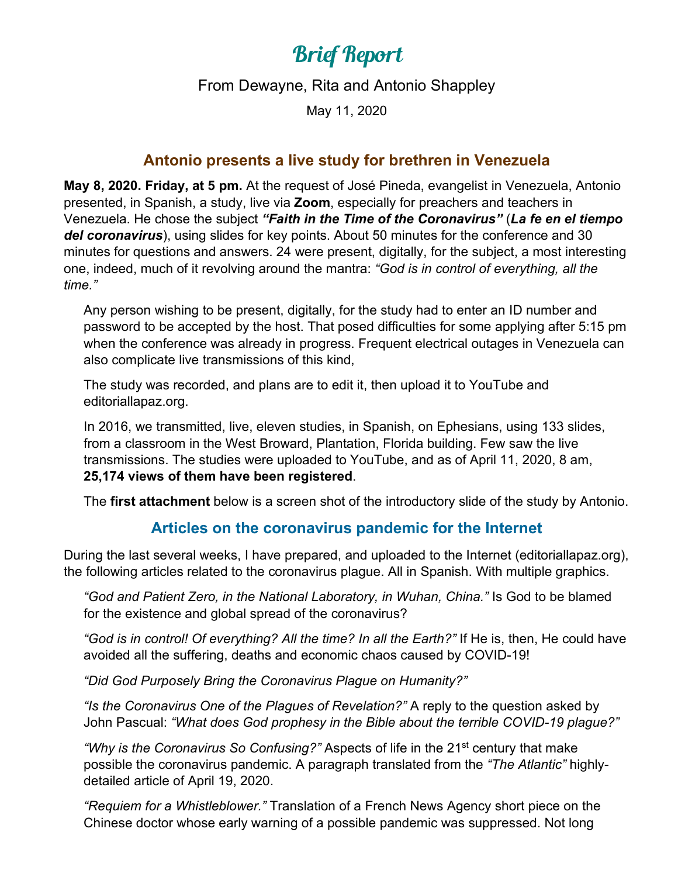# Brief Report

From Dewayne, Rita and Antonio Shappley

May 11, 2020

#### **Antonio presents a live study for brethren in Venezuela**

**May 8, 2020. Friday, at 5 pm.** At the request of José Pineda, evangelist in Venezuela, Antonio presented, in Spanish, a study, live via **Zoom**, especially for preachers and teachers in Venezuela. He chose the subject *"Faith in the Time of the Coronavirus"* (*La fe en el tiempo del coronavirus*), using slides for key points. About 50 minutes for the conference and 30 minutes for questions and answers. 24 were present, digitally, for the subject, a most interesting one, indeed, much of it revolving around the mantra: *"God is in control of everything, all the time."*

Any person wishing to be present, digitally, for the study had to enter an ID number and password to be accepted by the host. That posed difficulties for some applying after 5:15 pm when the conference was already in progress. Frequent electrical outages in Venezuela can also complicate live transmissions of this kind,

The study was recorded, and plans are to edit it, then upload it to YouTube and editoriallapaz.org.

In 2016, we transmitted, live, eleven studies, in Spanish, on Ephesians, using 133 slides, from a classroom in the West Broward, Plantation, Florida building. Few saw the live transmissions. The studies were uploaded to YouTube, and as of April 11, 2020, 8 am, **25,174 views of them have been registered**.

The **first attachment** below is a screen shot of the introductory slide of the study by Antonio.

#### **Articles on the coronavirus pandemic for the Internet**

During the last several weeks, I have prepared, and uploaded to the Internet (editoriallapaz.org), the following articles related to the coronavirus plague. All in Spanish. With multiple graphics.

*"God and Patient Zero, in the National Laboratory, in Wuhan, China."* Is God to be blamed for the existence and global spread of the coronavirus?

*"God is in control! Of everything? All the time? In all the Earth?"* If He is, then, He could have avoided all the suffering, deaths and economic chaos caused by COVID-19!

*"Did God Purposely Bring the Coronavirus Plague on Humanity?"* 

*"Is the Coronavirus One of the Plagues of Revelation?"* A reply to the question asked by John Pascual: *"What does God prophesy in the Bible about the terrible COVID-19 plague?"*

*"Why is the Coronavirus So Confusing?"* Aspects of life in the 21st century that make possible the coronavirus pandemic. A paragraph translated from the *"The Atlantic"* highlydetailed article of April 19, 2020.

*"Requiem for a Whistleblower."* Translation of a French News Agency short piece on the Chinese doctor whose early warning of a possible pandemic was suppressed. Not long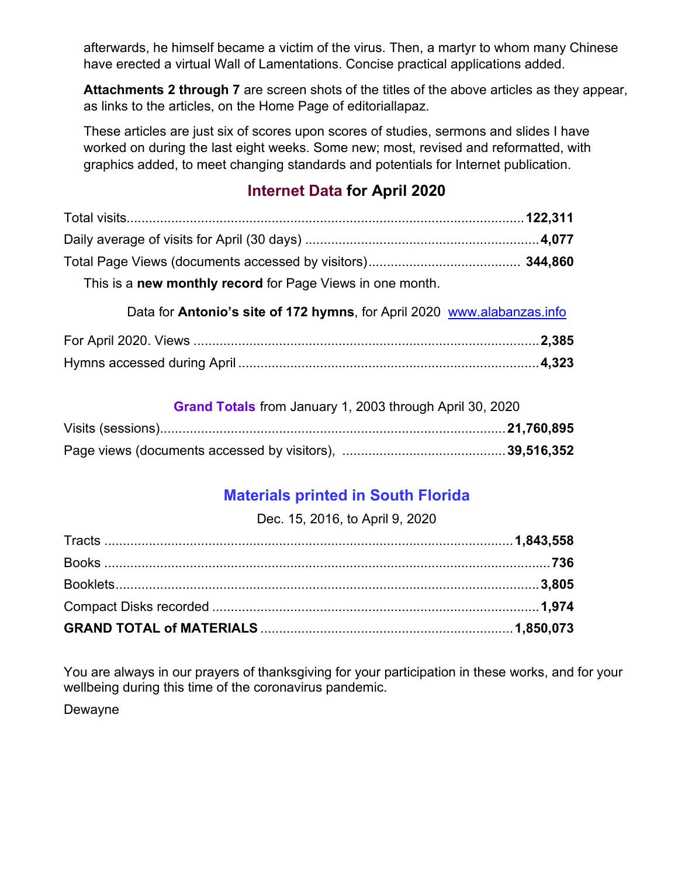afterwards, he himself became a victim of the virus. Then, a martyr to whom many Chinese have erected a virtual Wall of Lamentations. Concise practical applications added.

**Attachments 2 through 7** are screen shots of the titles of the above articles as they appear, as links to the articles, on the Home Page of editoriallapaz.

These articles are just six of scores upon scores of studies, sermons and slides I have worked on during the last eight weeks. Some new; most, revised and reformatted, with graphics added, to meet changing standards and potentials for Internet publication.

## **Internet Data for April 2020**

| This is a <b>new monthly record</b> for Page Views in one month. |  |
|------------------------------------------------------------------|--|

Data for **Antonio's site of 172 hymns**, for April 2020 [www.alabanzas.info](http://www.alabanzas.info/)

**Grand Totals** from January 1, 2003 through April 30, 2020

### **Materials printed in South Florida**

Dec. 15, 2016, to April 9, 2020

You are always in our prayers of thanksgiving for your participation in these works, and for your wellbeing during this time of the coronavirus pandemic.

Dewayne